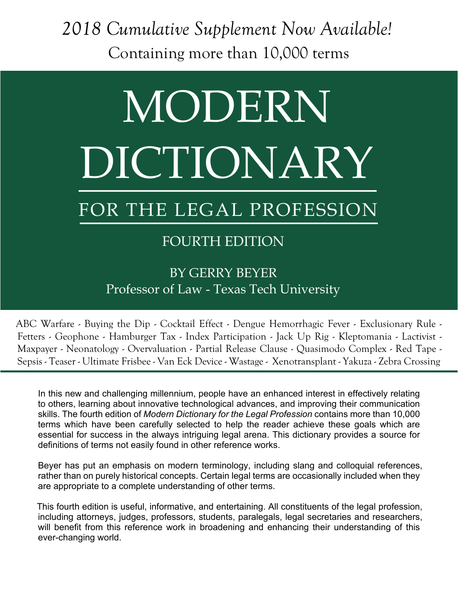*2018 Cumulative Supplement Now Available!* Containing more than 10,000 terms

# MODERN DICTIONARY

## FOR THE LEGAL PROFESSION

#### FOURTH EDITION

#### BY GERRY BEYER Professor of Law - Texas Tech University

ABC Warfare - Buying the Dip - Cocktail Effect - Dengue Hemorrhagic Fever - Exclusionary Rule - Fetters - Geophone - Hamburger Tax - Index Participation - Jack Up Rig - Kleptomania - Lactivist - Maxpayer - Neonatology - Overvaluation - Partial Release Clause - Quasimodo Complex - Red Tape - Sepsis - Teaser - Ultimate Frisbee - Van Eck Device - Wastage - Xenotransplant - Yakuza - Zebra Crossing

In this new and challenging millennium, people have an enhanced interest in effectively relating to others, learning about innovative technological advances, and improving their communication skills. The fourth edition of *Modern Dictionary for the Legal Profession* contains more than 10,000 terms which have been carefully selected to help the reader achieve these goals which are essential for success in the always intriguing legal arena. This dictionary provides a source for definitions of terms not easily found in other reference works.

Beyer has put an emphasis on modern terminology, including slang and colloquial references, rather than on purely historical concepts. Certain legal terms are occasionally included when they are appropriate to a complete understanding of other terms.

This fourth edition is useful, informative, and entertaining. All constituents of the legal profession, including attorneys, judges, professors, students, paralegals, legal secretaries and researchers, will benefit from this reference work in broadening and enhancing their understanding of this ever-changing world.